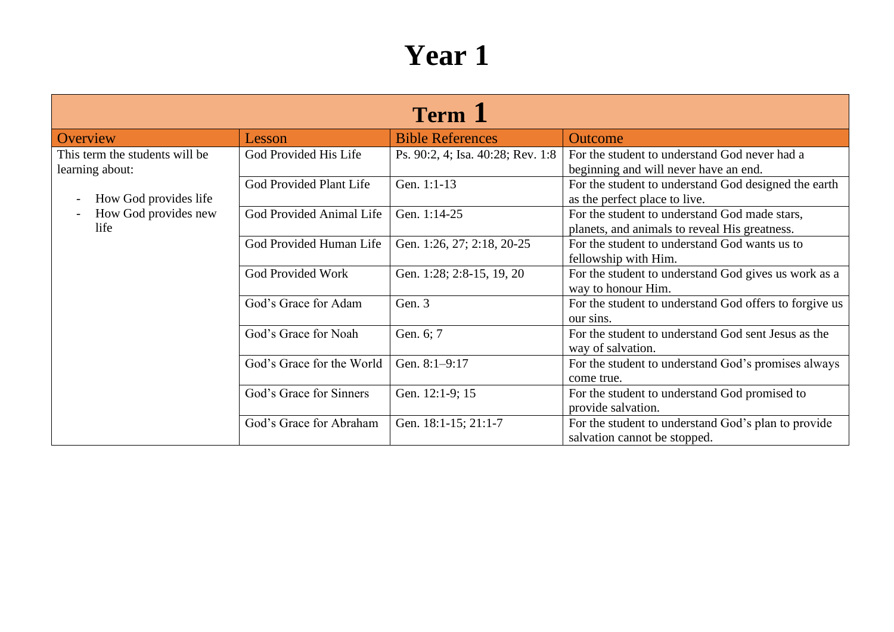| Term 1                                                                                                     |                                |                                   |                                                                                                |  |
|------------------------------------------------------------------------------------------------------------|--------------------------------|-----------------------------------|------------------------------------------------------------------------------------------------|--|
| Overview                                                                                                   | Lesson                         | <b>Bible References</b>           | <b>Outcome</b>                                                                                 |  |
| This term the students will be<br>learning about:<br>How God provides life<br>How God provides new<br>life | God Provided His Life          | Ps. 90:2, 4; Isa. 40:28; Rev. 1:8 | For the student to understand God never had a<br>beginning and will never have an end.         |  |
|                                                                                                            | <b>God Provided Plant Life</b> | Gen. 1:1-13                       | For the student to understand God designed the earth<br>as the perfect place to live.          |  |
|                                                                                                            | God Provided Animal Life       | Gen. 1:14-25                      | For the student to understand God made stars,<br>planets, and animals to reveal His greatness. |  |
|                                                                                                            | God Provided Human Life        | Gen. 1:26, 27; 2:18, 20-25        | For the student to understand God wants us to<br>fellowship with Him.                          |  |
|                                                                                                            | <b>God Provided Work</b>       | Gen. 1:28; 2:8-15, 19, 20         | For the student to understand God gives us work as a<br>way to honour Him.                     |  |
|                                                                                                            | God's Grace for Adam           | Gen. 3                            | For the student to understand God offers to forgive us<br>our sins.                            |  |
|                                                                                                            | God's Grace for Noah           | Gen. 6; 7                         | For the student to understand God sent Jesus as the<br>way of salvation.                       |  |
|                                                                                                            | God's Grace for the World      | Gen. 8:1-9:17                     | For the student to understand God's promises always<br>come true.                              |  |
|                                                                                                            | God's Grace for Sinners        | Gen. 12:1-9; 15                   | For the student to understand God promised to<br>provide salvation.                            |  |
|                                                                                                            | God's Grace for Abraham        | Gen. 18:1-15; 21:1-7              | For the student to understand God's plan to provide<br>salvation cannot be stopped.            |  |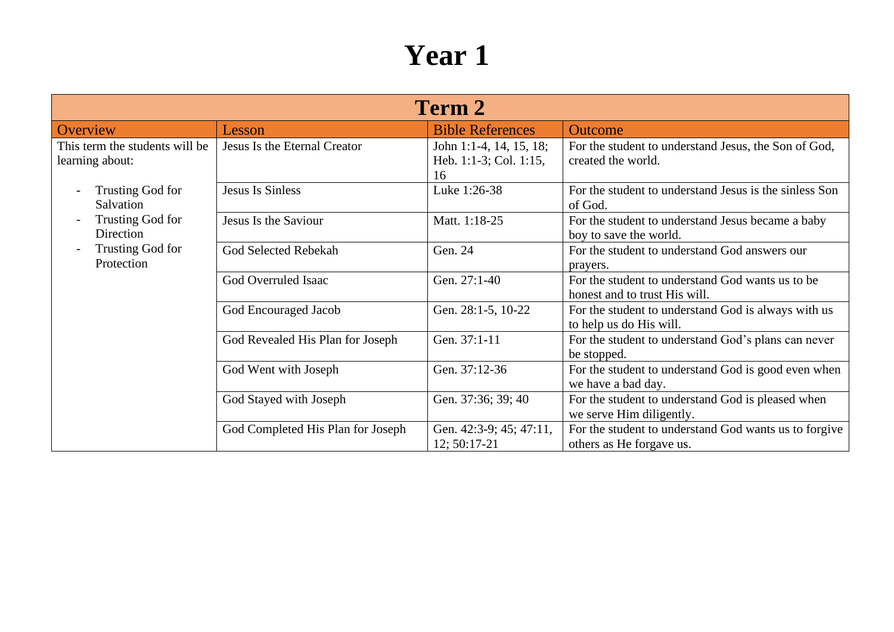| <b>Term 2</b>                                     |                                   |                                                         |                                                                                   |
|---------------------------------------------------|-----------------------------------|---------------------------------------------------------|-----------------------------------------------------------------------------------|
| Overview                                          | Lesson                            | <b>Bible References</b>                                 | <b>Outcome</b>                                                                    |
| This term the students will be<br>learning about: | Jesus Is the Eternal Creator      | John 1:1-4, 14, 15, 18;<br>Heb. 1:1-3; Col. 1:15,<br>16 | For the student to understand Jesus, the Son of God,<br>created the world.        |
| Trusting God for<br>Salvation                     | <b>Jesus Is Sinless</b>           | Luke 1:26-38                                            | For the student to understand Jesus is the sinless Son<br>of God.                 |
| Trusting God for<br>Direction                     | Jesus Is the Saviour              | Matt. 1:18-25                                           | For the student to understand Jesus became a baby<br>boy to save the world.       |
| Trusting God for<br>Protection                    | God Selected Rebekah              | Gen. 24                                                 | For the student to understand God answers our<br>prayers.                         |
|                                                   | God Overruled Isaac               | Gen. 27:1-40                                            | For the student to understand God wants us to be<br>honest and to trust His will. |
|                                                   | God Encouraged Jacob              | Gen. 28:1-5, 10-22                                      | For the student to understand God is always with us<br>to help us do His will.    |
|                                                   | God Revealed His Plan for Joseph  | Gen. 37:1-11                                            | For the student to understand God's plans can never<br>be stopped.                |
|                                                   | God Went with Joseph              | Gen. 37:12-36                                           | For the student to understand God is good even when<br>we have a bad day.         |
|                                                   | God Stayed with Joseph            | Gen. 37:36; 39; 40                                      | For the student to understand God is pleased when<br>we serve Him diligently.     |
|                                                   | God Completed His Plan for Joseph | Gen. 42:3-9; 45; 47:11,<br>$12; 50:17-21$               | For the student to understand God wants us to forgive<br>others as He forgave us. |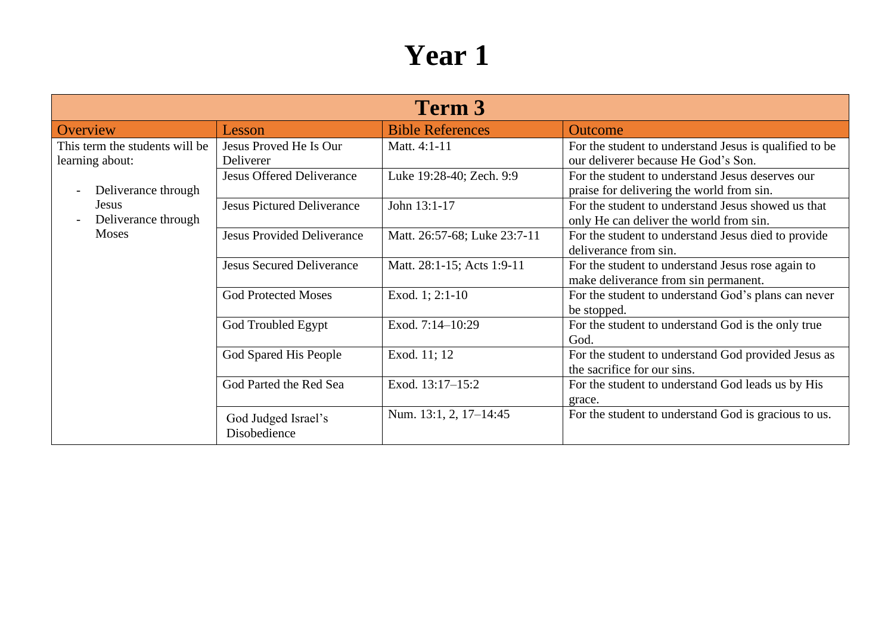| Term 3                                                                   |                                     |                              |                                                                                               |
|--------------------------------------------------------------------------|-------------------------------------|------------------------------|-----------------------------------------------------------------------------------------------|
| Overview                                                                 | Lesson                              | <b>Bible References</b>      | <b>Outcome</b>                                                                                |
| This term the students will be<br>learning about:<br>Deliverance through | Jesus Proved He Is Our<br>Deliverer | Matt. 4:1-11                 | For the student to understand Jesus is qualified to be<br>our deliverer because He God's Son. |
|                                                                          | <b>Jesus Offered Deliverance</b>    | Luke 19:28-40; Zech. 9:9     | For the student to understand Jesus deserves our<br>praise for delivering the world from sin. |
| <b>Jesus</b><br>Deliverance through                                      | <b>Jesus Pictured Deliverance</b>   | John 13:1-17                 | For the student to understand Jesus showed us that<br>only He can deliver the world from sin. |
| Moses                                                                    | <b>Jesus Provided Deliverance</b>   | Matt. 26:57-68; Luke 23:7-11 | For the student to understand Jesus died to provide<br>deliverance from sin.                  |
|                                                                          | <b>Jesus Secured Deliverance</b>    | Matt. 28:1-15; Acts 1:9-11   | For the student to understand Jesus rose again to<br>make deliverance from sin permanent.     |
|                                                                          | <b>God Protected Moses</b>          | Exod. 1; 2:1-10              | For the student to understand God's plans can never<br>be stopped.                            |
|                                                                          | God Troubled Egypt                  | Exod. 7:14-10:29             | For the student to understand God is the only true<br>God.                                    |
|                                                                          | God Spared His People               | Exod. 11; 12                 | For the student to understand God provided Jesus as<br>the sacrifice for our sins.            |
|                                                                          | God Parted the Red Sea              | Exod. 13:17-15:2             | For the student to understand God leads us by His<br>grace.                                   |
|                                                                          | God Judged Israel's<br>Disobedience | Num. 13:1, 2, 17–14:45       | For the student to understand God is gracious to us.                                          |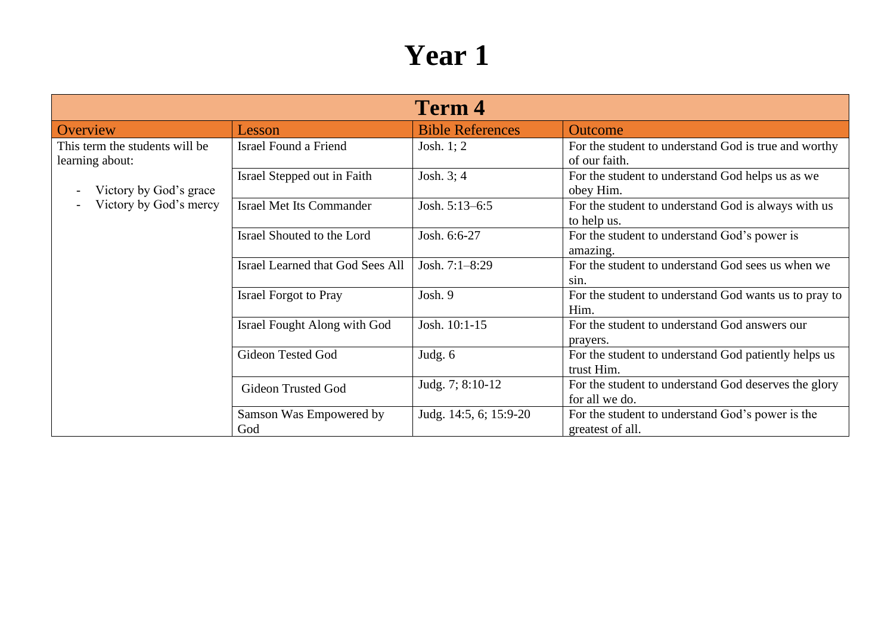|                                                   |                                         | <b>Term 4</b>           |                                                                        |
|---------------------------------------------------|-----------------------------------------|-------------------------|------------------------------------------------------------------------|
| Overview                                          | Lesson                                  | <b>Bible References</b> | <b>Outcome</b>                                                         |
| This term the students will be<br>learning about: | Israel Found a Friend                   | Josh. 1; 2              | For the student to understand God is true and worthy<br>of our faith.  |
| Victory by God's grace                            | Israel Stepped out in Faith             | Josh. 3; 4              | For the student to understand God helps us as we<br>obey Him.          |
| Victory by God's mercy                            | <b>Israel Met Its Commander</b>         | Josh. 5:13-6:5          | For the student to understand God is always with us<br>to help us.     |
|                                                   | Israel Shouted to the Lord              | Josh. 6:6-27            | For the student to understand God's power is<br>amazing.               |
|                                                   | <b>Israel Learned that God Sees All</b> | Josh. 7:1-8:29          | For the student to understand God sees us when we<br>sin.              |
|                                                   | <b>Israel Forgot to Pray</b>            | Josh. 9                 | For the student to understand God wants us to pray to<br>Him.          |
|                                                   | Israel Fought Along with God            | Josh. 10:1-15           | For the student to understand God answers our<br>prayers.              |
|                                                   | Gideon Tested God                       | Judg. 6                 | For the student to understand God patiently helps us<br>trust Him.     |
|                                                   | <b>Gideon Trusted God</b>               | Judg. 7; 8:10-12        | For the student to understand God deserves the glory<br>for all we do. |
|                                                   | Samson Was Empowered by<br>God          | Judg. 14:5, 6; 15:9-20  | For the student to understand God's power is the<br>greatest of all.   |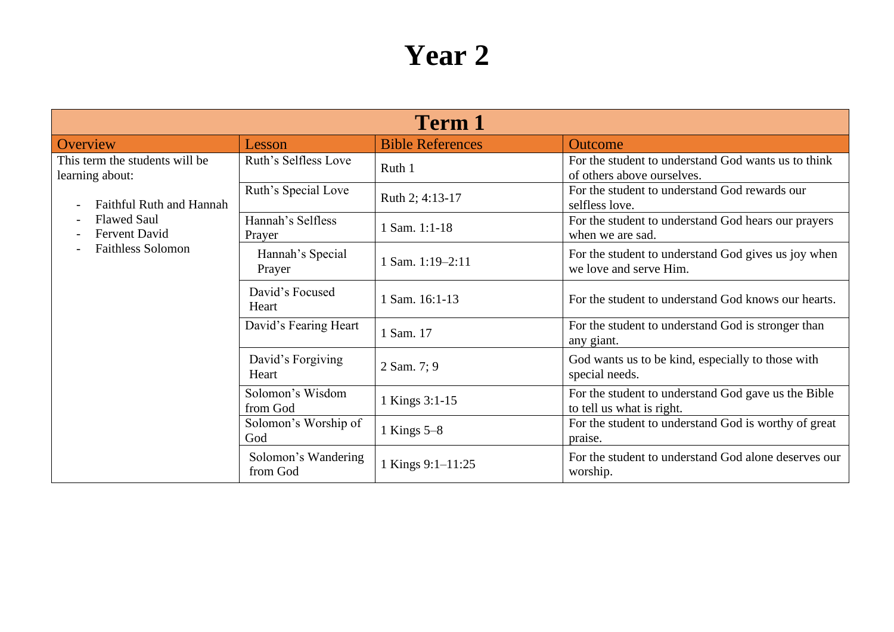| <b>Term 1</b>                                     |                                 |                         |                                                                                   |
|---------------------------------------------------|---------------------------------|-------------------------|-----------------------------------------------------------------------------------|
| Overview                                          | Lesson                          | <b>Bible References</b> | <b>Outcome</b>                                                                    |
| This term the students will be<br>learning about: | Ruth's Selfless Love            | Ruth 1                  | For the student to understand God wants us to think<br>of others above ourselves. |
| <b>Faithful Ruth and Hannah</b>                   | Ruth's Special Love             | Ruth 2; 4:13-17         | For the student to understand God rewards our<br>selfless love.                   |
| <b>Flawed Saul</b><br><b>Fervent David</b>        | Hannah's Selfless<br>Prayer     | 1 Sam. 1:1-18           | For the student to understand God hears our prayers<br>when we are sad.           |
| <b>Faithless Solomon</b>                          | Hannah's Special<br>Prayer      | 1 Sam. 1:19-2:11        | For the student to understand God gives us joy when<br>we love and serve Him.     |
|                                                   | David's Focused<br>Heart        | 1 Sam. 16:1-13          | For the student to understand God knows our hearts.                               |
|                                                   | David's Fearing Heart           | 1 Sam. 17               | For the student to understand God is stronger than<br>any giant.                  |
|                                                   | David's Forgiving<br>Heart      | 2 Sam. 7; 9             | God wants us to be kind, especially to those with<br>special needs.               |
|                                                   | Solomon's Wisdom<br>from God    | 1 Kings 3:1-15          | For the student to understand God gave us the Bible<br>to tell us what is right.  |
|                                                   | Solomon's Worship of<br>God     | 1 Kings $5-8$           | For the student to understand God is worthy of great<br>praise.                   |
|                                                   | Solomon's Wandering<br>from God | 1 Kings 9:1-11:25       | For the student to understand God alone deserves our<br>worship.                  |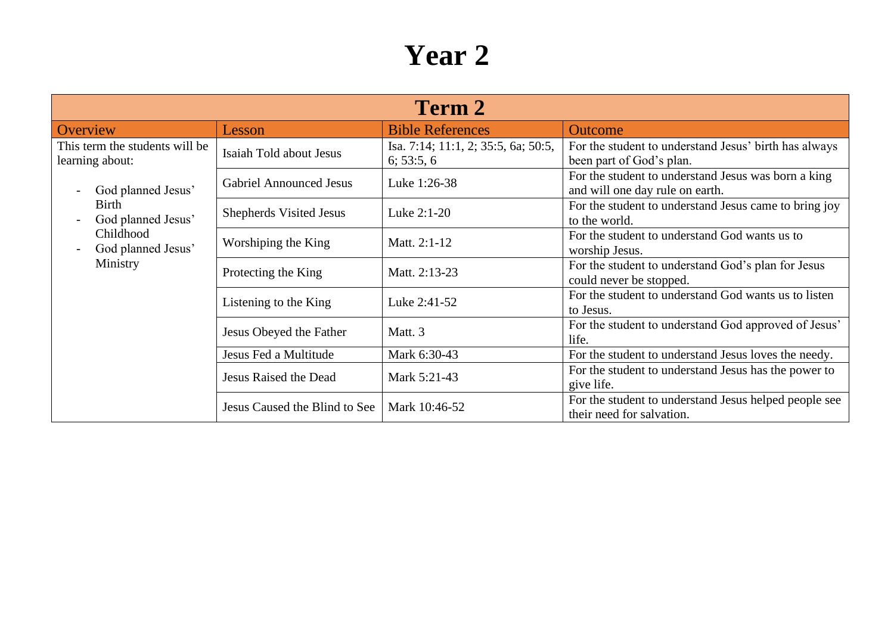| Term 2                                                                                                                                                       |                                |                                                   |                                                                                        |
|--------------------------------------------------------------------------------------------------------------------------------------------------------------|--------------------------------|---------------------------------------------------|----------------------------------------------------------------------------------------|
| Overview                                                                                                                                                     | Lesson                         | <b>Bible References</b>                           | <b>Outcome</b>                                                                         |
| This term the students will be<br>learning about:<br>God planned Jesus'<br><b>Birth</b><br>God planned Jesus'<br>Childhood<br>God planned Jesus'<br>Ministry | Isaiah Told about Jesus        | Isa. 7:14; 11:1, 2; 35:5, 6a; 50:5,<br>6; 53:5, 6 | For the student to understand Jesus' birth has always<br>been part of God's plan.      |
|                                                                                                                                                              | <b>Gabriel Announced Jesus</b> | Luke 1:26-38                                      | For the student to understand Jesus was born a king<br>and will one day rule on earth. |
|                                                                                                                                                              | Shepherds Visited Jesus        | Luke 2:1-20                                       | For the student to understand Jesus came to bring joy<br>to the world.                 |
|                                                                                                                                                              | Worshiping the King            | Matt. 2:1-12                                      | For the student to understand God wants us to<br>worship Jesus.                        |
|                                                                                                                                                              | Protecting the King            | Matt. 2:13-23                                     | For the student to understand God's plan for Jesus<br>could never be stopped.          |
|                                                                                                                                                              | Listening to the King          | Luke 2:41-52                                      | For the student to understand God wants us to listen<br>to Jesus.                      |
|                                                                                                                                                              | Jesus Obeyed the Father        | Matt. 3                                           | For the student to understand God approved of Jesus'<br>life.                          |
|                                                                                                                                                              | Jesus Fed a Multitude          | Mark 6:30-43                                      | For the student to understand Jesus loves the needy.                                   |
|                                                                                                                                                              | Jesus Raised the Dead          | Mark 5:21-43                                      | For the student to understand Jesus has the power to<br>give life.                     |
|                                                                                                                                                              | Jesus Caused the Blind to See  | Mark 10:46-52                                     | For the student to understand Jesus helped people see<br>their need for salvation.     |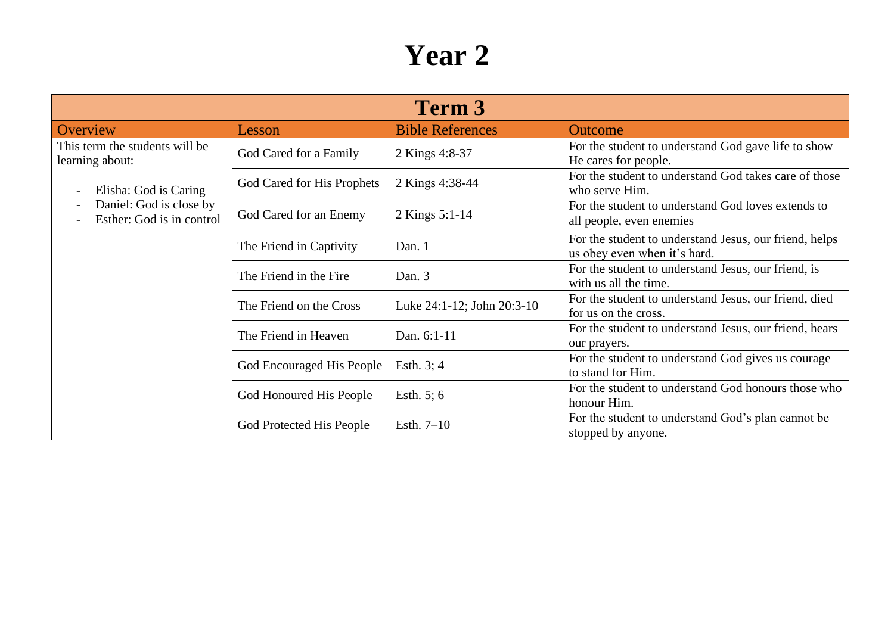| Term 3                                               |                            |                            |                                                                                        |
|------------------------------------------------------|----------------------------|----------------------------|----------------------------------------------------------------------------------------|
| Overview                                             | Lesson                     | <b>Bible References</b>    | <b>Outcome</b>                                                                         |
| This term the students will be<br>learning about:    | God Cared for a Family     | 2 Kings 4:8-37             | For the student to understand God gave life to show<br>He cares for people.            |
| Elisha: God is Caring<br>$\overline{\phantom{0}}$    | God Cared for His Prophets | 2 Kings 4:38-44            | For the student to understand God takes care of those<br>who serve Him.                |
| Daniel: God is close by<br>Esther: God is in control | God Cared for an Enemy     | 2 Kings 5:1-14             | For the student to understand God loves extends to<br>all people, even enemies         |
|                                                      | The Friend in Captivity    | Dan. 1                     | For the student to understand Jesus, our friend, helps<br>us obey even when it's hard. |
|                                                      | The Friend in the Fire     | Dan. 3                     | For the student to understand Jesus, our friend, is<br>with us all the time.           |
|                                                      | The Friend on the Cross    | Luke 24:1-12; John 20:3-10 | For the student to understand Jesus, our friend, died<br>for us on the cross.          |
|                                                      | The Friend in Heaven       | Dan. 6:1-11                | For the student to understand Jesus, our friend, hears<br>our prayers.                 |
|                                                      | God Encouraged His People  | Esth. $3:4$                | For the student to understand God gives us courage<br>to stand for Him.                |
|                                                      | God Honoured His People    | Esth. $5; 6$               | For the student to understand God honours those who<br>honour Him.                     |
|                                                      | God Protected His People   | Esth. $7-10$               | For the student to understand God's plan cannot be<br>stopped by anyone.               |